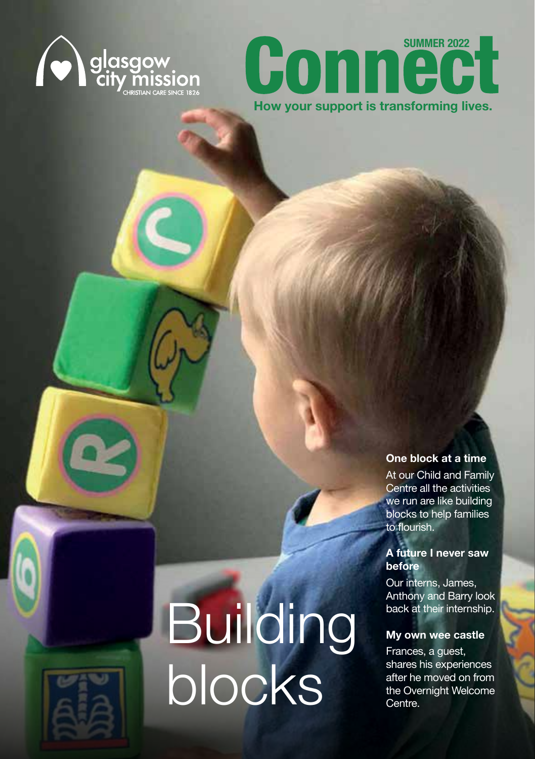



#### **One block at a time**

At our Child and Family Centre all the activities we run are like building blocks to help families to flourish.

#### **A future I never saw before**

Our interns, James, Anthony and Barry look back at their internship.

#### **My own wee castle**

**Building** 

blocks

Frances, a guest, shares his experiences after he moved on from the Overnight Welcome Centre.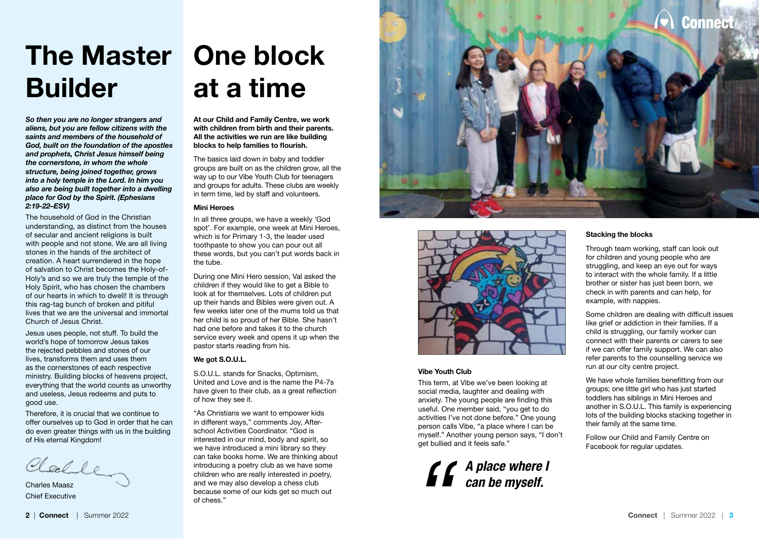## **The Master One block Builder**

*So then you are no longer strangers and aliens, but you are fellow citizens with the saints and members of the household of God, built on the foundation of the apostles and prophets, Christ Jesus himself being the cornerstone, in whom the whole structure, being joined together, grows into a holy temple in the Lord. In him you also are being built together into a dwelling place for God by the Spirit. (Ephesians 2:19-22–ESV)*

The household of God in the Christian understanding, as distinct from the houses of secular and ancient religions is built with people and not stone. We are all living stones in the hands of the architect of creation. A heart surrendered in the hope of salvation to Christ becomes the Holy-of-Holy's and so we are truly the temple of the Holy Spirit, who has chosen the chambers of our hearts in which to dwell! It is through this rag-tag bunch of broken and pitiful lives that we are the universal and immortal Church of Jesus Christ.

Jesus uses people, not stuff. To build the world's hope of tomorrow Jesus takes the rejected pebbles and stones of our lives, transforms them and uses them as the cornerstones of each respective ministry. Building blocks of heavens project, everything that the world counts as unworthy and useless, Jesus redeems and puts to good use.

Therefore, it is crucial that we continue to offer ourselves up to God in order that he can do even greater things with us in the building of His eternal Kingdom!

Clarle

Charles Maasz Chief Executive

## **at a time**

**At our Child and Family Centre, we work with children from birth and their parents. All the activities we run are like building blocks to help families to flourish.**

The basics laid down in baby and toddler groups are built on as the children grow, all the way up to our Vibe Youth Club for teenagers and groups for adults. These clubs are weekly in term time, led by staff and volunteers.

#### **Mini Heroes**

In all three groups, we have a weekly 'God spot'. For example, one week at Mini Heroes, which is for Primary 1-3, the leader used toothpaste to show you can pour out all these words, but you can't put words back in the tube.

During one Mini Hero session, Val asked the children if they would like to get a Bible to look at for themselves. Lots of children put up their hands and Bibles were given out. A few weeks later one of the mums told us that her child is so proud of her Bible. She hasn't had one before and takes it to the church service every week and opens it up when the pastor starts reading from his.

#### **We got S.O.U.L.**

S.O.U.L. stands for Snacks, Optimism, United and Love and is the name the P4-7s have given to their club, as a great reflection of how they see it.

"As Christians we want to empower kids in different ways," comments Joy, Afterschool Activities Coordinator. "God is interested in our mind, body and spirit, so we have introduced a mini library so they can take books home. We are thinking about introducing a poetry club as we have some children who are really interested in poetry, and we may also develop a chess club because some of our kids get so much out of chess."





#### **Vibe Youth Club**

This term, at Vibe we've been looking at social media, laughter and dealing with anxiety. The young people are finding this useful. One member said, "you get to do activities I've not done before." One young person calls Vibe, "a place where I can be myself." Another young person says, "I don't get bullied and it feels safe."

*A place where I can be myself.*

#### **Stacking the blocks**

Through team working, staff can look out for children and young people who are struggling, and keep an eye out for ways to interact with the whole family. If a little brother or sister has just been born, we check in with parents and can help, for example, with nappies.

Some children are dealing with difficult issues like grief or addiction in their families. If a child is struggling, our family worker can connect with their parents or carers to see if we can offer family support. We can also refer parents to the counselling service we run at our city centre project.

We have whole families benefitting from our groups; one little girl who has just started toddlers has siblings in Mini Heroes and another in S.O.U.L. This family is experiencing lots of the building blocks stacking together in their family at the same time.

Follow our Child and Family Centre on Facebook for regular updates.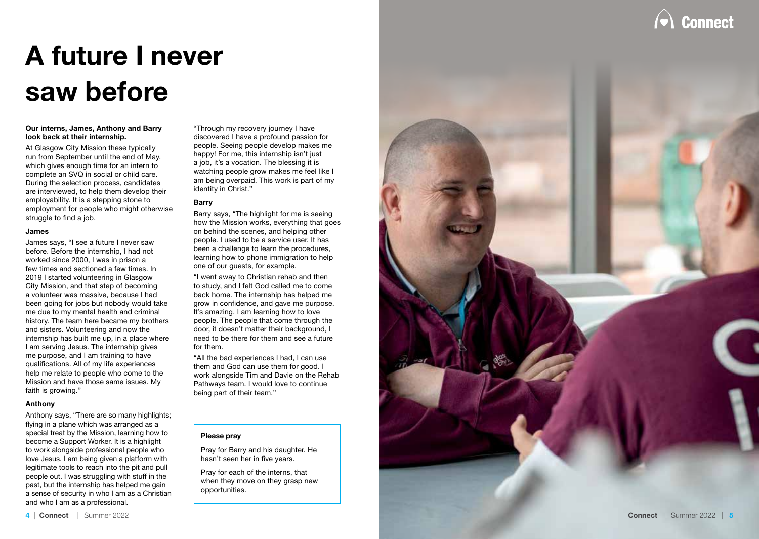

## **A future I never saw before**

#### **Our interns, James, Anthony and Barry look back at their internship.**

At Glasgow City Mission these typically run from September until the end of May, which gives enough time for an intern to complete an SVQ in social or child care. During the selection process, candidates are interviewed, to help them develop their employability. It is a stepping stone to employment for people who might otherwise struggle to find a job.

#### **James**

James says, "I see a future I never saw before. Before the internship, I had not worked since 2000, I was in prison a few times and sectioned a few times. In 2019 I started volunteering in Glasgow City Mission, and that step of becoming a volunteer was massive, because I had been going for jobs but nobody would take me due to my mental health and criminal history. The team here became my brothers and sisters. Volunteering and now the internship has built me up, in a place where I am serving Jesus. The internship gives me purpose, and I am training to have qualifications. All of my life experiences help me relate to people who come to the Mission and have those same issues. My faith is growing."

#### **Anthony**

Anthony says, "There are so many highlights; flying in a plane which was arranged as a special treat by the Mission, learning how to become a Support Worker. It is a highlight to work alongside professional people who love Jesus. I am being given a platform with legitimate tools to reach into the pit and pull people out. I was struggling with stuff in the past, but the internship has helped me gain a sense of security in who I am as a Christian and who I am as a professional.

"Through my recovery journey I have discovered I have a profound passion for people. Seeing people develop makes me happy! For me, this internship isn't just a job, it's a vocation. The blessing it is watching people grow makes me feel like I am being overpaid. This work is part of my identity in Christ."

#### **Barry**

Barry says, "The highlight for me is seeing how the Mission works, everything that goes on behind the scenes, and helping other people. I used to be a service user. It has been a challenge to learn the procedures, learning how to phone immigration to help one of our guests, for example.

"I went away to Christian rehab and then to study, and I felt God called me to come back home. The internship has helped me grow in confidence, and gave me purpose. It's amazing. I am learning how to love people. The people that come through the door, it doesn't matter their background, I need to be there for them and see a future for them.

"All the bad experiences I had, I can use them and God can use them for good. I work alongside Tim and Davie on the Rehab Pathways team. I would love to continue being part of their team."

#### **Please pray**

Pray for Barry and his daughter. He hasn't seen her in five years.

Pray for each of the interns, that when they move on they grasp new opportunities.

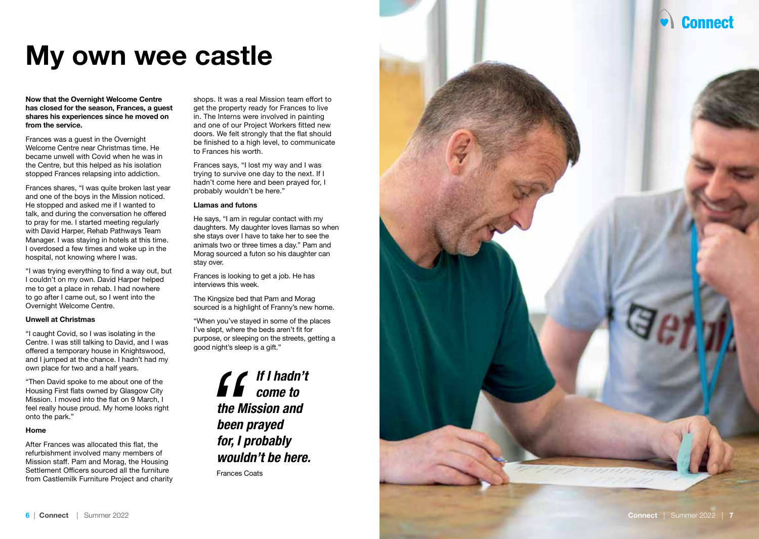**Connect** 

## **My own wee castle**

**Now that the Overnight Welcome Centre has closed for the season, Frances, a guest shares his experiences since he moved on from the service.**

Frances was a guest in the Overnight Welcome Centre near Christmas time. He became unwell with Covid when he was in the Centre, but this helped as his isolation stopped Frances relapsing into addiction.

Frances shares, "I was quite broken last year and one of the boys in the Mission noticed. He stopped and asked me if I wanted to talk, and during the conversation he offered to pray for me. I started meeting regularly with David Harper, Rehab Pathways Team Manager. I was staying in hotels at this time. I overdosed a few times and woke up in the hospital, not knowing where I was.

"I was trying everything to find a way out, but I couldn't on my own. David Harper helped me to get a place in rehab. I had nowhere to go after I came out, so I went into the Overnight Welcome Centre.

#### **Unwell at Christmas**

"I caught Covid, so I was isolating in the Centre. I was still talking to David, and I was offered a temporary house in Knightswood, and I jumped at the chance. I hadn't had my own place for two and a half years.

"Then David spoke to me about one of the Housing First flats owned by Glasgow City Mission. I moved into the flat on 9 March, I feel really house proud. My home looks right onto the park."

#### **Home**

After Frances was allocated this flat, the refurbishment involved many members of Mission staff. Pam and Morag, the Housing Settlement Officers sourced all the furniture from Castlemilk Furniture Project and charity

shops. It was a real Mission team effort to get the property ready for Frances to live in. The Interns were involved in painting and one of our Project Workers fitted new doors. We felt strongly that the flat should be finished to a high level, to communicate to Frances his worth.

Frances says, "I lost my way and I was trying to survive one day to the next. If I hadn't come here and been prayed for, I probably wouldn't be here."

#### **Llamas and futons**

He says, "I am in regular contact with my daughters. My daughter loves llamas so when she stays over I have to take her to see the animals two or three times a day." Pam and Morag sourced a futon so his daughter can stay over.

Frances is looking to get a job. He has interviews this week.

The Kingsize bed that Pam and Morag sourced is a highlight of Franny's new home.

"When you've stayed in some of the places I've slept, where the beds aren't fit for purpose, or sleeping on the streets, getting a good night's sleep is a gift."

> *If I hadn't come to the Mission and been prayed for, I probably wouldn't be here.* Frances Coats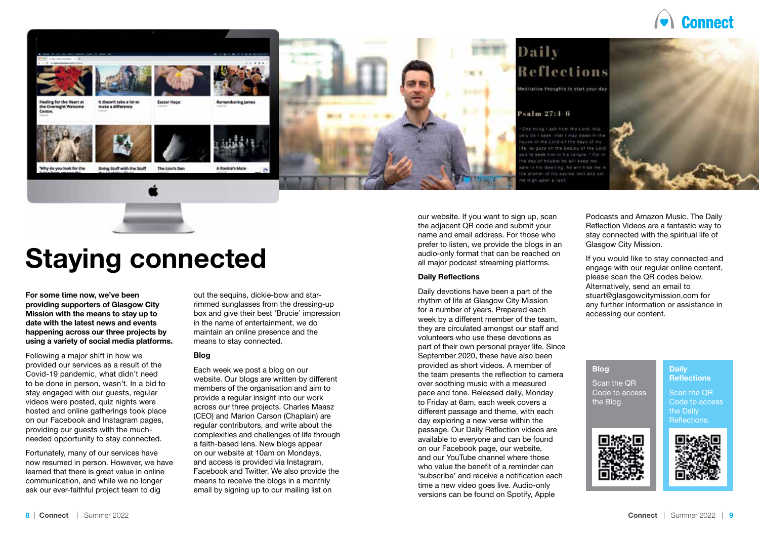





## Daily Reflections

Meditative thoughts to start your day

#### Psalm 27:4-6

a I ask from the Lord, this that I may dwell in the in 1 next all this stave of meon the beauty of the Lorin his dwelling: he will hide me / shelter of his sacred tent and cet a dularin, conversion a società

our website. If you want to sign up, scan the adjacent QR code and submit your name and email address. For those who prefer to listen, we provide the blogs in an audio-only format that can be reached on all major podcast streaming platforms.

#### **Daily Reflections**

Daily devotions have been a part of the rhythm of life at Glasgow City Mission for a number of years. Prepared each week by a different member of the team, they are circulated amongst our staff and volunteers who use these devotions as part of their own personal prayer life. Since September 2020, these have also been provided as short videos. A member of the team presents the reflection to camera over soothing music with a measured pace and tone. Released daily, Monday to Friday at 6am, each week covers a different passage and theme, with each day exploring a new verse within the passage. Our Daily Reflection videos are available to everyone and can be found on our Facebook page, our website, and our YouTube channel where those who value the benefit of a reminder can 'subscribe' and receive a notification each time a new video goes live. Audio-only versions can be found on Spotify, Apple

Podcasts and Amazon Music. The Daily Reflection Videos are a fantastic way to stay connected with the spiritual life of Glasgow City Mission.

If you would like to stay connected and engage with our regular online content, please scan the QR codes below. Alternatively, send an email to stuart@glasgowcitymission.com for any further information or assistance in accessing our content.

#### **Blog**

Scan the QR Code to access the Blog.

Scan the QR Code to access the Daily Reflections.

**Daily Reflections** 





## **Staying connected**

**For some time now, we've been providing supporters of Glasgow City Mission with the means to stay up to date with the latest news and events happening across our three projects by using a variety of social media platforms.**

Following a major shift in how we provided our services as a result of the Covid-19 pandemic, what didn't need to be done in person, wasn't. In a bid to stay engaged with our guests, regular videos were posted, quiz nights were hosted and online gatherings took place on our Facebook and Instagram pages, providing our guests with the muchneeded opportunity to stay connected.

Fortunately, many of our services have now resumed in person. However, we have learned that there is great value in online communication, and while we no longer ask our ever-faithful project team to dig

out the sequins, dickie-bow and starrimmed sunglasses from the dressing-up box and give their best 'Brucie' impression in the name of entertainment, we do maintain an online presence and the means to stay connected.

#### **Blog**

Each week we post a blog on our website. Our blogs are written by different members of the organisation and aim to provide a regular insight into our work across our three projects. Charles Maasz (CEO) and Marion Carson (Chaplain) are regular contributors, and write about the complexities and challenges of life through a faith-based lens. New blogs appear on our website at 10am on Mondays, and access is provided via Instagram, Facebook and Twitter. We also provide the means to receive the blogs in a monthly email by signing up to our mailing list on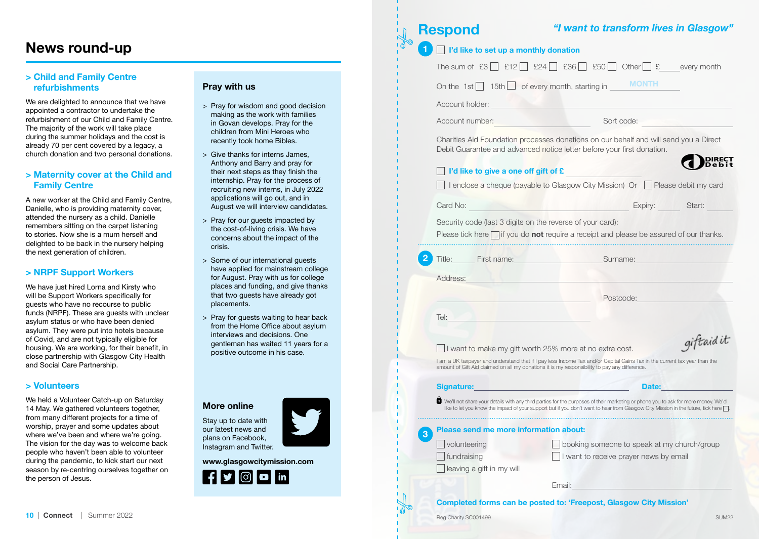#### **News round-up**

#### **> Child and Family Centre refurbishments**

We are delighted to announce that we have appointed a contractor to undertake the refurbishment of our Child and Family Centre. The majority of the work will take place during the summer holidays and the cost is already 70 per cent covered by a legacy, a church donation and two personal donations.

#### **> Maternity cover at the Child and Family Centre**

A new worker at the Child and Family Centre, Danielle, who is providing maternity cover, attended the nursery as a child. Danielle remembers sitting on the carpet listening to stories. Now she is a mum herself and delighted to be back in the nursery helping the next generation of children.

#### **> NRPF Support Workers**

We have just hired Lorna and Kirsty who will be Support Workers specifically for guests who have no recourse to public funds (NRPF). These are guests with unclear asylum status or who have been denied asylum. They were put into hotels because of Covid, and are not typically eligible for housing. We are working, for their benefit, in close partnership with Glasgow City Health and Social Care Partnership.

#### **> Volunteers**

We held a Volunteer Catch-up on Saturday 14 May. We gathered volunteers together, from many different projects for a time of worship, prayer and some updates about where we've been and where we're going. The vision for the day was to welcome back people who haven't been able to volunteer during the pandemic, to kick start our next season by re-centring ourselves together on the person of Jesus.

#### **Pray with us**

> Pray for wisdom and good decision making as the work with families in Govan develops. Pray for the children from Mini Heroes who recently took home Bibles.

 $\mathsf{L}$ 

- > Give thanks for interns James, Anthony and Barry and pray for their next steps as they finish the internship. Pray for the process of recruiting new interns, in July 2022 applications will go out, and in August we will interview candidates.
- > Pray for our guests impacted by the cost-of-living crisis. We have concerns about the impact of the crisis.
- > Some of our international guests have applied for mainstream college for August. Pray with us for college places and funding, and give thanks that two guests have already got placements.
- > Pray for guests waiting to hear back from the Home Office about asylum interviews and decisions. One gentleman has waited 11 years for a positive outcome in his case.

| <b>More online</b>     |  |
|------------------------|--|
| Stay up to date with   |  |
| our latest news and    |  |
| plans on Facebook,     |  |
| Instagram and Twitter. |  |

**www.glasgowcitymission.com** 



| <b>Respond</b>                                             | "I want to transform lives in Glasgow"                                                                                                                                                                                                                                                       |
|------------------------------------------------------------|----------------------------------------------------------------------------------------------------------------------------------------------------------------------------------------------------------------------------------------------------------------------------------------------|
| I'd like to set up a monthly donation                      |                                                                                                                                                                                                                                                                                              |
| The sum of $£3$   $£12$   $\blacksquare$                   | $\Box$ £36 $\Box$ £50 $\Box$ Other $\Box$ £ every month<br>E24                                                                                                                                                                                                                               |
| On the $1st$   $15th$   of every month, starting in        | <b>MONTH</b>                                                                                                                                                                                                                                                                                 |
| Account holder:                                            |                                                                                                                                                                                                                                                                                              |
| Account number:                                            | Sort code:                                                                                                                                                                                                                                                                                   |
|                                                            | Charities Aid Foundation processes donations on our behalf and will send you a Direct<br>Debit Guarantee and advanced notice letter before your first donation.                                                                                                                              |
| I'd like to give a one off gift of £                       |                                                                                                                                                                                                                                                                                              |
|                                                            | I enclose a cheque (payable to Glasgow City Mission) Or Please debit my card                                                                                                                                                                                                                 |
| Card No:                                                   | Expiry:<br>Start:                                                                                                                                                                                                                                                                            |
| Security code (last 3 digits on the reverse of your card): | Please tick here $\vert \vert$ if you do <b>not</b> require a receipt and please be assured of our thanks.                                                                                                                                                                                   |
| Title: First name:                                         | Surname:                                                                                                                                                                                                                                                                                     |
|                                                            |                                                                                                                                                                                                                                                                                              |
| Address:                                                   |                                                                                                                                                                                                                                                                                              |
|                                                            | Postcode:                                                                                                                                                                                                                                                                                    |
|                                                            |                                                                                                                                                                                                                                                                                              |
| Tel:                                                       |                                                                                                                                                                                                                                                                                              |
|                                                            | I want to make my gift worth 25% more at no extra cost.                                                                                                                                                                                                                                      |
|                                                            | I am a UK taxpayer and understand that if I pay less Income Tax and/or Capital Gains Tax in the current tax year than the<br>amount of Gift Aid claimed on all my donations it is my responsibility to pay any difference.                                                                   |
| Signature:                                                 | <b>Date:</b>                                                                                                                                                                                                                                                                                 |
|                                                            |                                                                                                                                                                                                                                                                                              |
| Please send me more information about:                     |                                                                                                                                                                                                                                                                                              |
| volunteering                                               | booking someone to speak at my church/group                                                                                                                                                                                                                                                  |
| fundraising                                                | I want to receive prayer news by email                                                                                                                                                                                                                                                       |
| leaving a gift in my will                                  | giftaidit<br>■ We'll not share your details with any third parties for the purposes of their marketing or phone you to ask for more money. We'd<br>like to let vou know the impact of vour support but if vou don't want to hear from Glasgow City Mission in the future, tick here $\Box$ . |